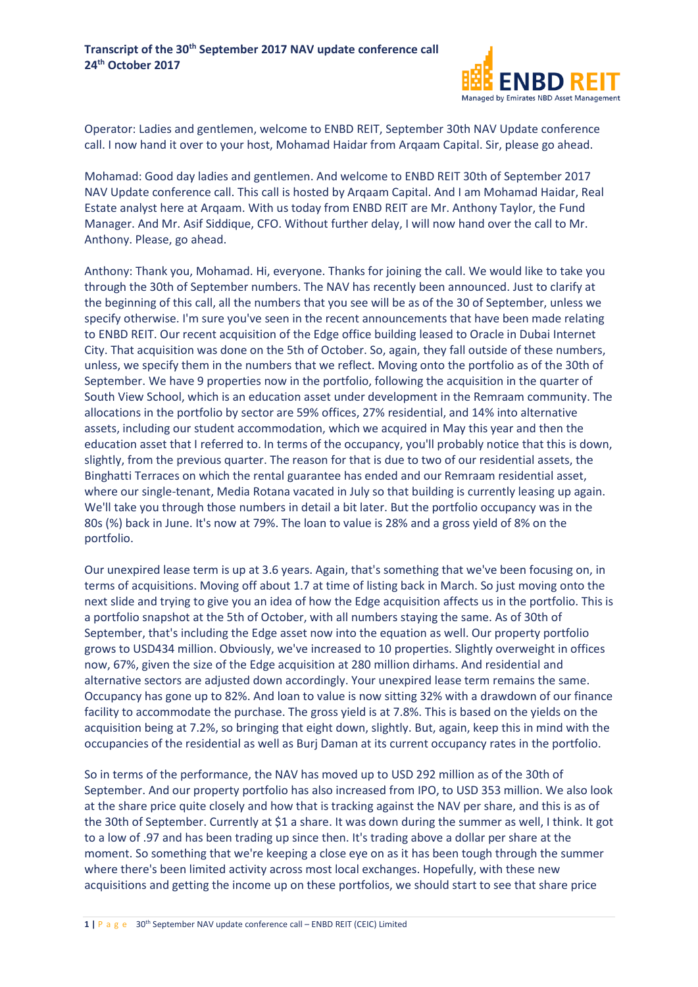

Operator: Ladies and gentlemen, welcome to ENBD REIT, September 30th NAV Update conference call. I now hand it over to your host, Mohamad Haidar from Arqaam Capital. Sir, please go ahead.

Mohamad: Good day ladies and gentlemen. And welcome to ENBD REIT 30th of September 2017 NAV Update conference call. This call is hosted by Arqaam Capital. And I am Mohamad Haidar, Real Estate analyst here at Arqaam. With us today from ENBD REIT are Mr. Anthony Taylor, the Fund Manager. And Mr. Asif Siddique, CFO. Without further delay, I will now hand over the call to Mr. Anthony. Please, go ahead.

Anthony: Thank you, Mohamad. Hi, everyone. Thanks for joining the call. We would like to take you through the 30th of September numbers. The NAV has recently been announced. Just to clarify at the beginning of this call, all the numbers that you see will be as of the 30 of September, unless we specify otherwise. I'm sure you've seen in the recent announcements that have been made relating to ENBD REIT. Our recent acquisition of the Edge office building leased to Oracle in Dubai Internet City. That acquisition was done on the 5th of October. So, again, they fall outside of these numbers, unless, we specify them in the numbers that we reflect. Moving onto the portfolio as of the 30th of September. We have 9 properties now in the portfolio, following the acquisition in the quarter of South View School, which is an education asset under development in the Remraam community. The allocations in the portfolio by sector are 59% offices, 27% residential, and 14% into alternative assets, including our student accommodation, which we acquired in May this year and then the education asset that I referred to. In terms of the occupancy, you'll probably notice that this is down, slightly, from the previous quarter. The reason for that is due to two of our residential assets, the Binghatti Terraces on which the rental guarantee has ended and our Remraam residential asset, where our single-tenant, Media Rotana vacated in July so that building is currently leasing up again. We'll take you through those numbers in detail a bit later. But the portfolio occupancy was in the 80s (%) back in June. It's now at 79%. The loan to value is 28% and a gross yield of 8% on the portfolio.

Our unexpired lease term is up at 3.6 years. Again, that's something that we've been focusing on, in terms of acquisitions. Moving off about 1.7 at time of listing back in March. So just moving onto the next slide and trying to give you an idea of how the Edge acquisition affects us in the portfolio. This is a portfolio snapshot at the 5th of October, with all numbers staying the same. As of 30th of September, that's including the Edge asset now into the equation as well. Our property portfolio grows to USD434 million. Obviously, we've increased to 10 properties. Slightly overweight in offices now, 67%, given the size of the Edge acquisition at 280 million dirhams. And residential and alternative sectors are adjusted down accordingly. Your unexpired lease term remains the same. Occupancy has gone up to 82%. And loan to value is now sitting 32% with a drawdown of our finance facility to accommodate the purchase. The gross yield is at 7.8%. This is based on the yields on the acquisition being at 7.2%, so bringing that eight down, slightly. But, again, keep this in mind with the occupancies of the residential as well as Burj Daman at its current occupancy rates in the portfolio.

So in terms of the performance, the NAV has moved up to USD 292 million as of the 30th of September. And our property portfolio has also increased from IPO, to USD 353 million. We also look at the share price quite closely and how that is tracking against the NAV per share, and this is as of the 30th of September. Currently at \$1 a share. It was down during the summer as well, I think. It got to a low of .97 and has been trading up since then. It's trading above a dollar per share at the moment. So something that we're keeping a close eye on as it has been tough through the summer where there's been limited activity across most local exchanges. Hopefully, with these new acquisitions and getting the income up on these portfolios, we should start to see that share price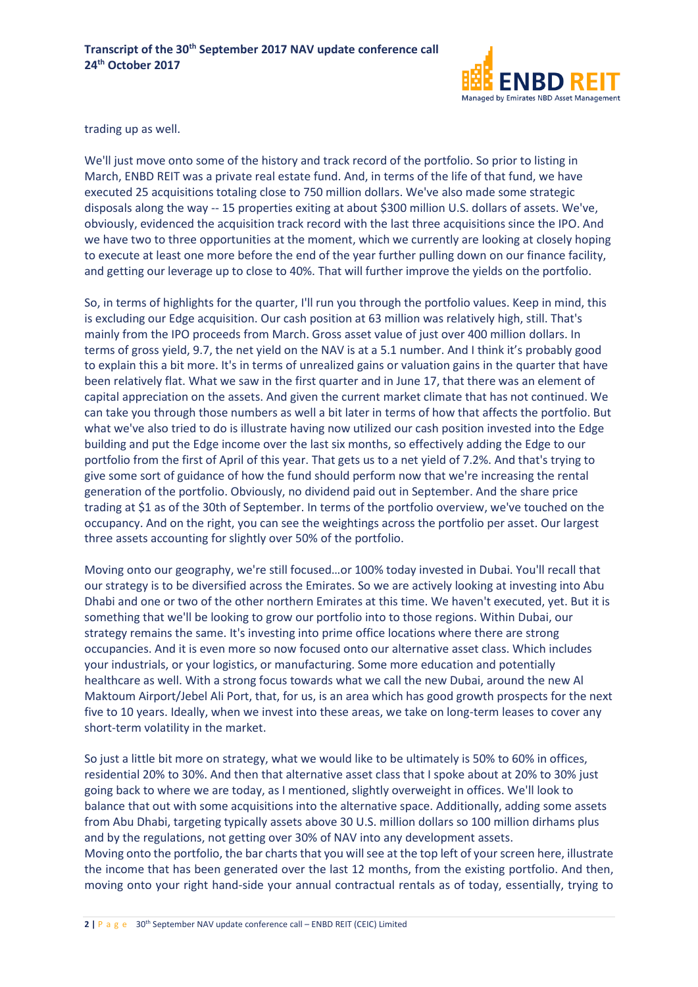

trading up as well.

We'll just move onto some of the history and track record of the portfolio. So prior to listing in March, ENBD REIT was a private real estate fund. And, in terms of the life of that fund, we have executed 25 acquisitions totaling close to 750 million dollars. We've also made some strategic disposals along the way -- 15 properties exiting at about \$300 million U.S. dollars of assets. We've, obviously, evidenced the acquisition track record with the last three acquisitions since the IPO. And we have two to three opportunities at the moment, which we currently are looking at closely hoping to execute at least one more before the end of the year further pulling down on our finance facility, and getting our leverage up to close to 40%. That will further improve the yields on the portfolio.

So, in terms of highlights for the quarter, I'll run you through the portfolio values. Keep in mind, this is excluding our Edge acquisition. Our cash position at 63 million was relatively high, still. That's mainly from the IPO proceeds from March. Gross asset value of just over 400 million dollars. In terms of gross yield, 9.7, the net yield on the NAV is at a 5.1 number. And I think it's probably good to explain this a bit more. It's in terms of unrealized gains or valuation gains in the quarter that have been relatively flat. What we saw in the first quarter and in June 17, that there was an element of capital appreciation on the assets. And given the current market climate that has not continued. We can take you through those numbers as well a bit later in terms of how that affects the portfolio. But what we've also tried to do is illustrate having now utilized our cash position invested into the Edge building and put the Edge income over the last six months, so effectively adding the Edge to our portfolio from the first of April of this year. That gets us to a net yield of 7.2%. And that's trying to give some sort of guidance of how the fund should perform now that we're increasing the rental generation of the portfolio. Obviously, no dividend paid out in September. And the share price trading at \$1 as of the 30th of September. In terms of the portfolio overview, we've touched on the occupancy. And on the right, you can see the weightings across the portfolio per asset. Our largest three assets accounting for slightly over 50% of the portfolio.

Moving onto our geography, we're still focused…or 100% today invested in Dubai. You'll recall that our strategy is to be diversified across the Emirates. So we are actively looking at investing into Abu Dhabi and one or two of the other northern Emirates at this time. We haven't executed, yet. But it is something that we'll be looking to grow our portfolio into to those regions. Within Dubai, our strategy remains the same. It's investing into prime office locations where there are strong occupancies. And it is even more so now focused onto our alternative asset class. Which includes your industrials, or your logistics, or manufacturing. Some more education and potentially healthcare as well. With a strong focus towards what we call the new Dubai, around the new Al Maktoum Airport/Jebel Ali Port, that, for us, is an area which has good growth prospects for the next five to 10 years. Ideally, when we invest into these areas, we take on long-term leases to cover any short-term volatility in the market.

So just a little bit more on strategy, what we would like to be ultimately is 50% to 60% in offices, residential 20% to 30%. And then that alternative asset class that I spoke about at 20% to 30% just going back to where we are today, as I mentioned, slightly overweight in offices. We'll look to balance that out with some acquisitions into the alternative space. Additionally, adding some assets from Abu Dhabi, targeting typically assets above 30 U.S. million dollars so 100 million dirhams plus and by the regulations, not getting over 30% of NAV into any development assets. Moving onto the portfolio, the bar charts that you will see at the top left of your screen here, illustrate the income that has been generated over the last 12 months, from the existing portfolio. And then, moving onto your right hand-side your annual contractual rentals as of today, essentially, trying to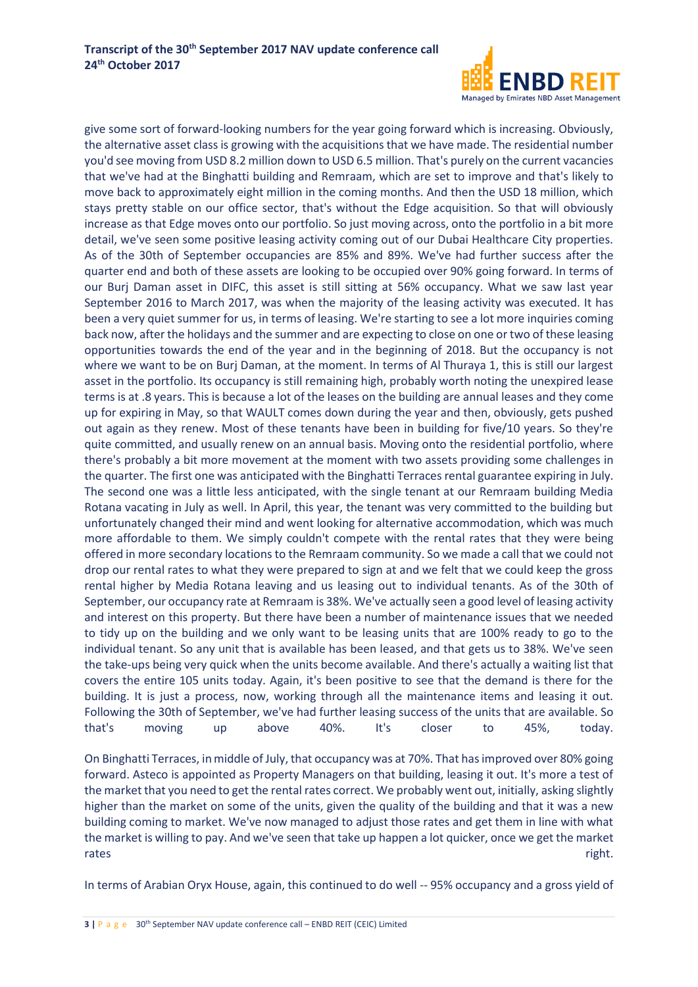

give some sort of forward-looking numbers for the year going forward which is increasing. Obviously, the alternative asset class is growing with the acquisitions that we have made. The residential number you'd see moving from USD 8.2 million down to USD 6.5 million. That's purely on the current vacancies that we've had at the Binghatti building and Remraam, which are set to improve and that's likely to move back to approximately eight million in the coming months. And then the USD 18 million, which stays pretty stable on our office sector, that's without the Edge acquisition. So that will obviously increase as that Edge moves onto our portfolio. So just moving across, onto the portfolio in a bit more detail, we've seen some positive leasing activity coming out of our Dubai Healthcare City properties. As of the 30th of September occupancies are 85% and 89%. We've had further success after the quarter end and both of these assets are looking to be occupied over 90% going forward. In terms of our Burj Daman asset in DIFC, this asset is still sitting at 56% occupancy. What we saw last year September 2016 to March 2017, was when the majority of the leasing activity was executed. It has been a very quiet summer for us, in terms of leasing. We're starting to see a lot more inquiries coming back now, after the holidays and the summer and are expecting to close on one or two of these leasing opportunities towards the end of the year and in the beginning of 2018. But the occupancy is not where we want to be on Burj Daman, at the moment. In terms of Al Thuraya 1, this is still our largest asset in the portfolio. Its occupancy is still remaining high, probably worth noting the unexpired lease terms is at .8 years. This is because a lot of the leases on the building are annual leases and they come up for expiring in May, so that WAULT comes down during the year and then, obviously, gets pushed out again as they renew. Most of these tenants have been in building for five/10 years. So they're quite committed, and usually renew on an annual basis. Moving onto the residential portfolio, where there's probably a bit more movement at the moment with two assets providing some challenges in the quarter. The first one was anticipated with the Binghatti Terraces rental guarantee expiring in July. The second one was a little less anticipated, with the single tenant at our Remraam building Media Rotana vacating in July as well. In April, this year, the tenant was very committed to the building but unfortunately changed their mind and went looking for alternative accommodation, which was much more affordable to them. We simply couldn't compete with the rental rates that they were being offered in more secondary locations to the Remraam community. So we made a call that we could not drop our rental rates to what they were prepared to sign at and we felt that we could keep the gross rental higher by Media Rotana leaving and us leasing out to individual tenants. As of the 30th of September, our occupancy rate at Remraam is 38%. We've actually seen a good level of leasing activity and interest on this property. But there have been a number of maintenance issues that we needed to tidy up on the building and we only want to be leasing units that are 100% ready to go to the individual tenant. So any unit that is available has been leased, and that gets us to 38%. We've seen the take-ups being very quick when the units become available. And there's actually a waiting list that covers the entire 105 units today. Again, it's been positive to see that the demand is there for the building. It is just a process, now, working through all the maintenance items and leasing it out. Following the 30th of September, we've had further leasing success of the units that are available. So that's moving up above 40%. It's closer to 45%, today.

On Binghatti Terraces, in middle of July, that occupancy was at 70%. That has improved over 80% going forward. Asteco is appointed as Property Managers on that building, leasing it out. It's more a test of the market that you need to get the rental rates correct. We probably went out, initially, asking slightly higher than the market on some of the units, given the quality of the building and that it was a new building coming to market. We've now managed to adjust those rates and get them in line with what the market is willing to pay. And we've seen that take up happen a lot quicker, once we get the market rates right.

In terms of Arabian Oryx House, again, this continued to do well -- 95% occupancy and a gross yield of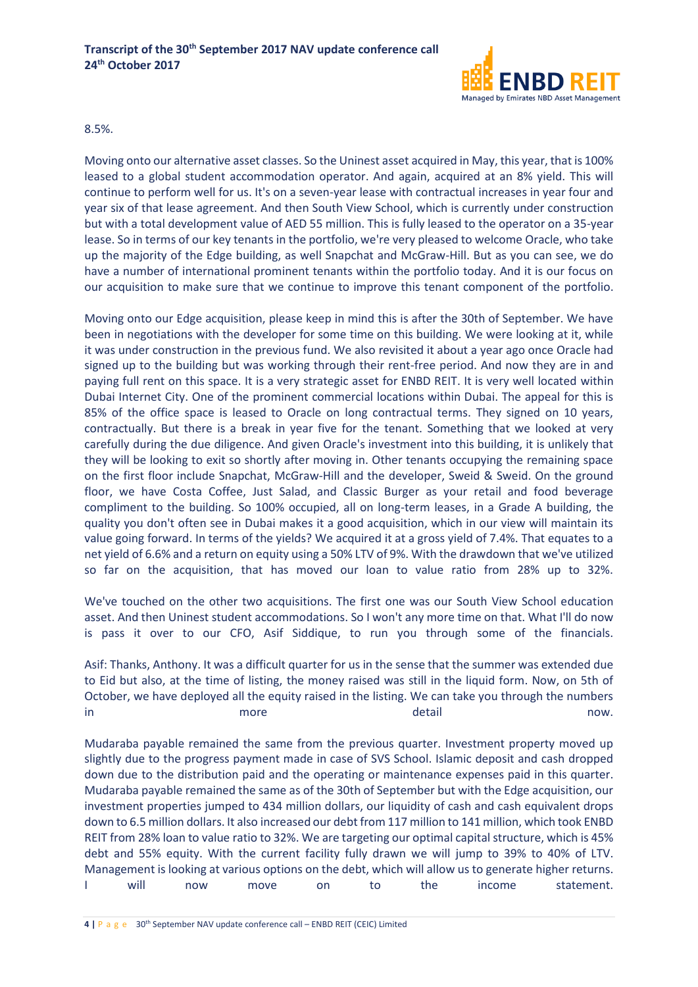

8.5%.

Moving onto our alternative asset classes. So the Uninest asset acquired in May, this year, that is 100% leased to a global student accommodation operator. And again, acquired at an 8% yield. This will continue to perform well for us. It's on a seven-year lease with contractual increases in year four and year six of that lease agreement. And then South View School, which is currently under construction but with a total development value of AED 55 million. This is fully leased to the operator on a 35-year lease. So in terms of our key tenants in the portfolio, we're very pleased to welcome Oracle, who take up the majority of the Edge building, as well Snapchat and McGraw-Hill. But as you can see, we do have a number of international prominent tenants within the portfolio today. And it is our focus on our acquisition to make sure that we continue to improve this tenant component of the portfolio.

Moving onto our Edge acquisition, please keep in mind this is after the 30th of September. We have been in negotiations with the developer for some time on this building. We were looking at it, while it was under construction in the previous fund. We also revisited it about a year ago once Oracle had signed up to the building but was working through their rent-free period. And now they are in and paying full rent on this space. It is a very strategic asset for ENBD REIT. It is very well located within Dubai Internet City. One of the prominent commercial locations within Dubai. The appeal for this is 85% of the office space is leased to Oracle on long contractual terms. They signed on 10 years, contractually. But there is a break in year five for the tenant. Something that we looked at very carefully during the due diligence. And given Oracle's investment into this building, it is unlikely that they will be looking to exit so shortly after moving in. Other tenants occupying the remaining space on the first floor include Snapchat, McGraw-Hill and the developer, Sweid & Sweid. On the ground floor, we have Costa Coffee, Just Salad, and Classic Burger as your retail and food beverage compliment to the building. So 100% occupied, all on long-term leases, in a Grade A building, the quality you don't often see in Dubai makes it a good acquisition, which in our view will maintain its value going forward. In terms of the yields? We acquired it at a gross yield of 7.4%. That equates to a net yield of 6.6% and a return on equity using a 50% LTV of 9%. With the drawdown that we've utilized so far on the acquisition, that has moved our loan to value ratio from 28% up to 32%.

We've touched on the other two acquisitions. The first one was our South View School education asset. And then Uninest student accommodations. So I won't any more time on that. What I'll do now is pass it over to our CFO, Asif Siddique, to run you through some of the financials.

Asif: Thanks, Anthony. It was a difficult quarter for us in the sense that the summer was extended due to Eid but also, at the time of listing, the money raised was still in the liquid form. Now, on 5th of October, we have deployed all the equity raised in the listing. We can take you through the numbers in more more detail and mow.

Mudaraba payable remained the same from the previous quarter. Investment property moved up slightly due to the progress payment made in case of SVS School. Islamic deposit and cash dropped down due to the distribution paid and the operating or maintenance expenses paid in this quarter. Mudaraba payable remained the same as of the 30th of September but with the Edge acquisition, our investment properties jumped to 434 million dollars, our liquidity of cash and cash equivalent drops down to 6.5 million dollars. It also increased our debt from 117 million to 141 million, which took ENBD REIT from 28% loan to value ratio to 32%. We are targeting our optimal capital structure, which is 45% debt and 55% equity. With the current facility fully drawn we will jump to 39% to 40% of LTV. Management is looking at various options on the debt, which will allow us to generate higher returns. I will now move on to the income statement.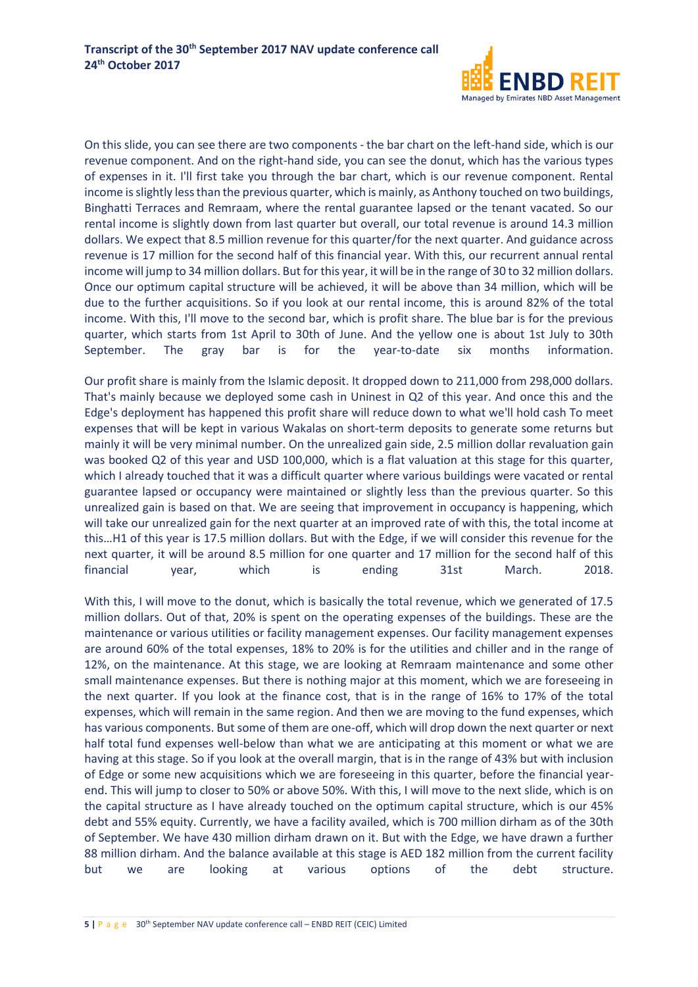

On this slide, you can see there are two components - the bar chart on the left-hand side, which is our revenue component. And on the right-hand side, you can see the donut, which has the various types of expenses in it. I'll first take you through the bar chart, which is our revenue component. Rental income is slightly less than the previous quarter, which is mainly, as Anthony touched on two buildings, Binghatti Terraces and Remraam, where the rental guarantee lapsed or the tenant vacated. So our rental income is slightly down from last quarter but overall, our total revenue is around 14.3 million dollars. We expect that 8.5 million revenue for this quarter/for the next quarter. And guidance across revenue is 17 million for the second half of this financial year. With this, our recurrent annual rental income will jump to 34 million dollars. But for this year, it will be in the range of 30 to 32 million dollars. Once our optimum capital structure will be achieved, it will be above than 34 million, which will be due to the further acquisitions. So if you look at our rental income, this is around 82% of the total income. With this, I'll move to the second bar, which is profit share. The blue bar is for the previous quarter, which starts from 1st April to 30th of June. And the yellow one is about 1st July to 30th September. The gray bar is for the year-to-date six months information.

Our profit share is mainly from the Islamic deposit. It dropped down to 211,000 from 298,000 dollars. That's mainly because we deployed some cash in Uninest in Q2 of this year. And once this and the Edge's deployment has happened this profit share will reduce down to what we'll hold cash To meet expenses that will be kept in various Wakalas on short-term deposits to generate some returns but mainly it will be very minimal number. On the unrealized gain side, 2.5 million dollar revaluation gain was booked Q2 of this year and USD 100,000, which is a flat valuation at this stage for this quarter, which I already touched that it was a difficult quarter where various buildings were vacated or rental guarantee lapsed or occupancy were maintained or slightly less than the previous quarter. So this unrealized gain is based on that. We are seeing that improvement in occupancy is happening, which will take our unrealized gain for the next quarter at an improved rate of with this, the total income at this…H1 of this year is 17.5 million dollars. But with the Edge, if we will consider this revenue for the next quarter, it will be around 8.5 million for one quarter and 17 million for the second half of this financial year, which is ending 31st March. 2018.

With this, I will move to the donut, which is basically the total revenue, which we generated of 17.5 million dollars. Out of that, 20% is spent on the operating expenses of the buildings. These are the maintenance or various utilities or facility management expenses. Our facility management expenses are around 60% of the total expenses, 18% to 20% is for the utilities and chiller and in the range of 12%, on the maintenance. At this stage, we are looking at Remraam maintenance and some other small maintenance expenses. But there is nothing major at this moment, which we are foreseeing in the next quarter. If you look at the finance cost, that is in the range of 16% to 17% of the total expenses, which will remain in the same region. And then we are moving to the fund expenses, which has various components. But some of them are one-off, which will drop down the next quarter or next half total fund expenses well-below than what we are anticipating at this moment or what we are having at this stage. So if you look at the overall margin, that is in the range of 43% but with inclusion of Edge or some new acquisitions which we are foreseeing in this quarter, before the financial yearend. This will jump to closer to 50% or above 50%. With this, I will move to the next slide, which is on the capital structure as I have already touched on the optimum capital structure, which is our 45% debt and 55% equity. Currently, we have a facility availed, which is 700 million dirham as of the 30th of September. We have 430 million dirham drawn on it. But with the Edge, we have drawn a further 88 million dirham. And the balance available at this stage is AED 182 million from the current facility but we are looking at various options of the debt structure.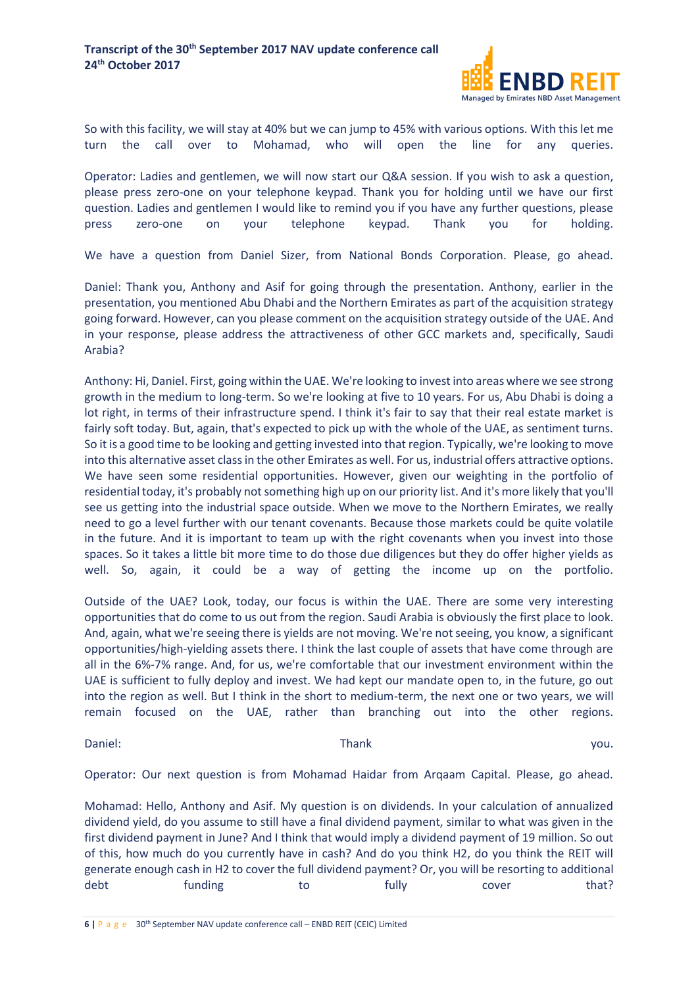

So with this facility, we will stay at 40% but we can jump to 45% with various options. With this let me turn the call over to Mohamad, who will open the line for any queries.

Operator: Ladies and gentlemen, we will now start our Q&A session. If you wish to ask a question, please press zero-one on your telephone keypad. Thank you for holding until we have our first question. Ladies and gentlemen I would like to remind you if you have any further questions, please press zero-one on your telephone keypad. Thank you for holding.

We have a question from Daniel Sizer, from National Bonds Corporation. Please, go ahead.

Daniel: Thank you, Anthony and Asif for going through the presentation. Anthony, earlier in the presentation, you mentioned Abu Dhabi and the Northern Emirates as part of the acquisition strategy going forward. However, can you please comment on the acquisition strategy outside of the UAE. And in your response, please address the attractiveness of other GCC markets and, specifically, Saudi Arabia?

Anthony: Hi, Daniel. First, going within the UAE. We're looking to invest into areas where we see strong growth in the medium to long-term. So we're looking at five to 10 years. For us, Abu Dhabi is doing a lot right, in terms of their infrastructure spend. I think it's fair to say that their real estate market is fairly soft today. But, again, that's expected to pick up with the whole of the UAE, as sentiment turns. So it is a good time to be looking and getting invested into that region. Typically, we're looking to move into this alternative asset class in the other Emirates as well. For us, industrial offers attractive options. We have seen some residential opportunities. However, given our weighting in the portfolio of residential today, it's probably not something high up on our priority list. And it's more likely that you'll see us getting into the industrial space outside. When we move to the Northern Emirates, we really need to go a level further with our tenant covenants. Because those markets could be quite volatile in the future. And it is important to team up with the right covenants when you invest into those spaces. So it takes a little bit more time to do those due diligences but they do offer higher yields as well. So, again, it could be a way of getting the income up on the portfolio.

Outside of the UAE? Look, today, our focus is within the UAE. There are some very interesting opportunities that do come to us out from the region. Saudi Arabia is obviously the first place to look. And, again, what we're seeing there is yields are not moving. We're not seeing, you know, a significant opportunities/high-yielding assets there. I think the last couple of assets that have come through are all in the 6%-7% range. And, for us, we're comfortable that our investment environment within the UAE is sufficient to fully deploy and invest. We had kept our mandate open to, in the future, go out into the region as well. But I think in the short to medium-term, the next one or two years, we will remain focused on the UAE, rather than branching out into the other regions.

Daniel: which is a contract to the Thank Thank the contract of the contract of the contract of the contract of the contract of the contract of the contract of the contract of the contract of the contract of the contract of

Operator: Our next question is from Mohamad Haidar from Arqaam Capital. Please, go ahead.

Mohamad: Hello, Anthony and Asif. My question is on dividends. In your calculation of annualized dividend yield, do you assume to still have a final dividend payment, similar to what was given in the first dividend payment in June? And I think that would imply a dividend payment of 19 million. So out of this, how much do you currently have in cash? And do you think H2, do you think the REIT will generate enough cash in H2 to cover the full dividend payment? Or, you will be resorting to additional debt funding to fully cover that?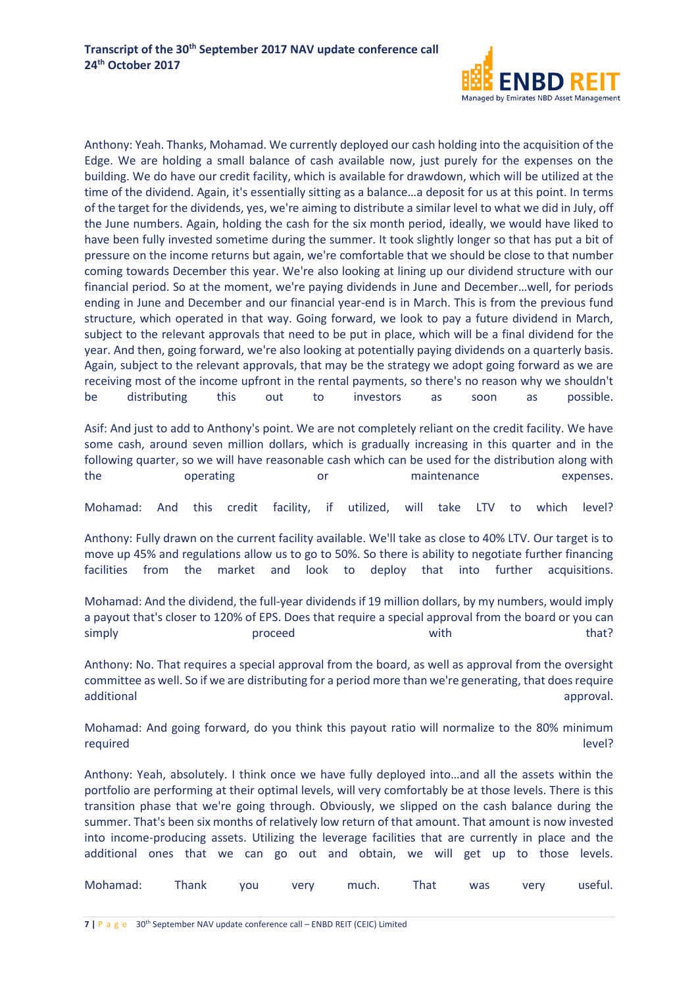

Anthony: Yeah. Thanks, Mohamad. We currently deployed our cash holding into the acquisition of the Edge. We are holding a small balance of cash available now, just purely for the expenses on the building. We do have our credit facility, which is available for drawdown, which will be utilized at the time of the dividend. Again, it's essentially sitting as a balance…a deposit for us at this point. In terms of the target for the dividends, yes, we're aiming to distribute a similar level to what we did in July, off the June numbers. Again, holding the cash for the six month period, ideally, we would have liked to have been fully invested sometime during the summer. It took slightly longer so that has put a bit of pressure on the income returns but again, we're comfortable that we should be close to that number coming towards December this year. We're also looking at lining up our dividend structure with our financial period. So at the moment, we're paying dividends in June and December…well, for periods ending in June and December and our financial year-end is in March. This is from the previous fund structure, which operated in that way. Going forward, we look to pay a future dividend in March, subject to the relevant approvals that need to be put in place, which will be a final dividend for the year. And then, going forward, we're also looking at potentially paying dividends on a quarterly basis. Again, subject to the relevant approvals, that may be the strategy we adopt going forward as we are receiving most of the income upfront in the rental payments, so there's no reason why we shouldn't be distributing this out to investors as soon as possible.

Asif: And just to add to Anthony's point. We are not completely reliant on the credit facility. We have some cash, around seven million dollars, which is gradually increasing in this quarter and in the following quarter, so we will have reasonable cash which can be used for the distribution along with the operating or maintenance expenses.

Mohamad: And this credit facility, if utilized, will take LTV to which level?

Anthony: Fully drawn on the current facility available. We'll take as close to 40% LTV. Our target is to move up 45% and regulations allow us to go to 50%. So there is ability to negotiate further financing facilities from the market and look to deploy that into further acquisitions.

Mohamad: And the dividend, the full-year dividends if 19 million dollars, by my numbers, would imply a payout that's closer to 120% of EPS. Does that require a special approval from the board or you can simply become proceed that?

Anthony: No. That requires a special approval from the board, as well as approval from the oversight committee as well. So if we are distributing for a period more than we're generating, that does require additional approval.

Mohamad: And going forward, do you think this payout ratio will normalize to the 80% minimum required level?

Anthony: Yeah, absolutely. I think once we have fully deployed into…and all the assets within the portfolio are performing at their optimal levels, will very comfortably be at those levels. There is this transition phase that we're going through. Obviously, we slipped on the cash balance during the summer. That's been six months of relatively low return of that amount. That amount is now invested into income-producing assets. Utilizing the leverage facilities that are currently in place and the additional ones that we can go out and obtain, we will get up to those levels.

| Mohamad: Thank you very much. That was very useful. |  |  |  |  |
|-----------------------------------------------------|--|--|--|--|
|                                                     |  |  |  |  |